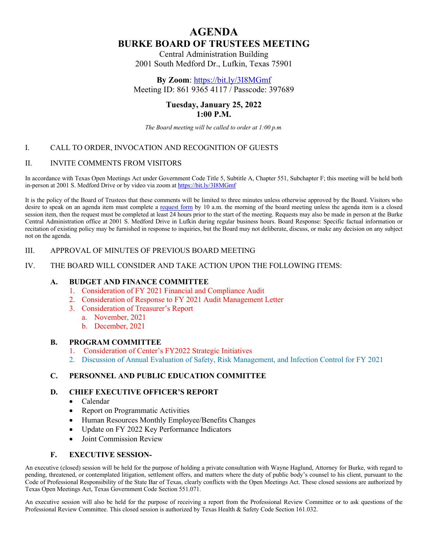# **AGENDA BURKE BOARD OF TRUSTEES MEETING**

Central Administration Building 2001 South Medford Dr., Lufkin, Texas 75901

# **By Zoom**: https://bit.ly/3I8MGmf

Meeting ID: 861 9365 4117 / Passcode: 397689

# **Tuesday, January 25, 2022 1:00 P.M.**

*The Board meeting will be called to order at 1:00 p.m.*

### I. CALL TO ORDER, INVOCATION AND RECOGNITION OF GUESTS

### II. INVITE COMMENTS FROM VISITORS

In accordance with Texas Open Meetings Act under Government Code Title 5, Subtitle A, Chapter 551, Subchapter F; this meeting will be held both in-person at 2001 S. Medford Drive or by video via zoom at https://bit.ly/3I8MGmf

It is the policy of the Board of Trustees that these comments will be limited to three minutes unless otherwise approved by the Board. Visitors who desire to speak on an agenda item must complete a request form by 10 a.m. the morning of the board meeting unless the agenda item is a closed session item, then the request must be completed at least 24 hours prior to the start of the meeting. Requests may also be made in person at the Burke Central Administration office at 2001 S. Medford Drive in Lufkin during regular business hours. Board Response: Specific factual information or recitation of existing policy may be furnished in response to inquiries, but the Board may not deliberate, discuss, or make any decision on any subject not on the agenda.

### III. APPROVAL OF MINUTES OF PREVIOUS BOARD MEETING

IV. THE BOARD WILL CONSIDER AND TAKE ACTION UPON THE FOLLOWING ITEMS:

### **A. BUDGET AND FINANCE COMMITTEE**

- 1. Consideration of FY 2021 Financial and Compliance Audit
- 2. Consideration of Response to FY 2021 Audit Management Letter
- 3. Consideration of Treasurer's Report
	- a. November, 2021
	- b. December, 2021

### **B. PROGRAM COMMITTEE**

- 1. Consideration of Center's FY2022 Strategic Initiatives
- 2. Discussion of Annual Evaluation of Safety, Risk Management, and Infection Control for FY 2021

### **C. PERSONNEL AND PUBLIC EDUCATION COMMITTEE**

### **D. CHIEF EXECUTIVE OFFICER'S REPORT**

- Calendar
- Report on Programmatic Activities
- Human Resources Monthly Employee/Benefits Changes
- Update on FY 2022 Key Performance Indicators
- Joint Commission Review

### **F. EXECUTIVE SESSION-**

An executive (closed) session will be held for the purpose of holding a private consultation with Wayne Haglund, Attorney for Burke, with regard to pending, threatened, or contemplated litigation, settlement offers, and matters where the duty of public body's counsel to his client, pursuant to the Code of Professional Responsibility of the State Bar of Texas, clearly conflicts with the Open Meetings Act. These closed sessions are authorized by Texas Open Meetings Act, Texas Government Code Section 551.071.

An executive session will also be held for the purpose of receiving a report from the Professional Review Committee or to ask questions of the Professional Review Committee. This closed session is authorized by Texas Health & Safety Code Section 161.032.